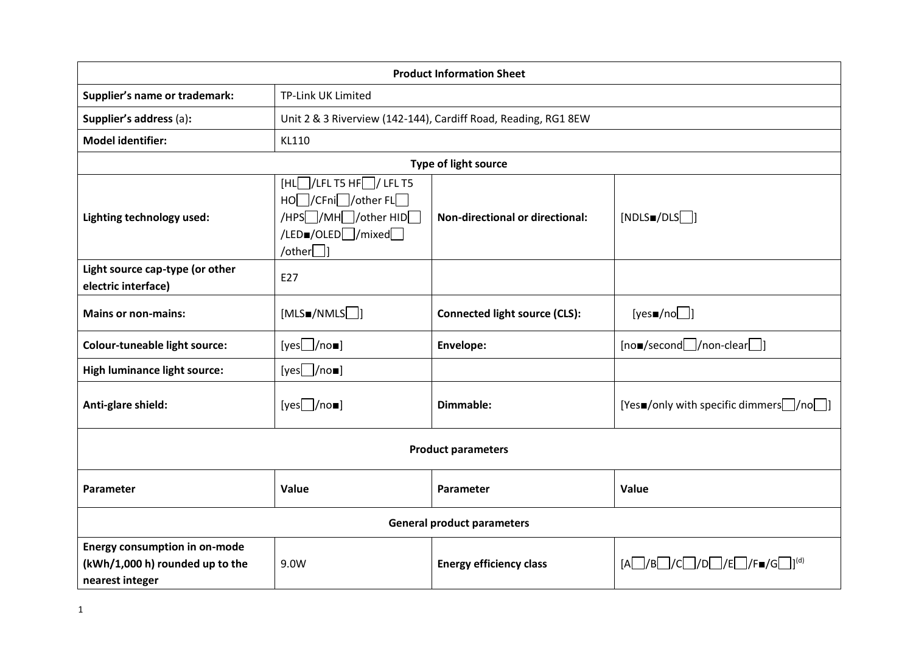| <b>Product Information Sheet</b>                                                           |                                                                                                                                |                                        |                                                                                |  |  |
|--------------------------------------------------------------------------------------------|--------------------------------------------------------------------------------------------------------------------------------|----------------------------------------|--------------------------------------------------------------------------------|--|--|
| Supplier's name or trademark:                                                              | TP-Link UK Limited                                                                                                             |                                        |                                                                                |  |  |
| Supplier's address (a):                                                                    | Unit 2 & 3 Riverview (142-144), Cardiff Road, Reading, RG1 8EW                                                                 |                                        |                                                                                |  |  |
| <b>Model identifier:</b>                                                                   | KL110                                                                                                                          |                                        |                                                                                |  |  |
| <b>Type of light source</b>                                                                |                                                                                                                                |                                        |                                                                                |  |  |
| Lighting technology used:                                                                  | $[HL]/LEL$ T5 HF $]/LEL$ T5<br>HOO/CFniD/other FLO<br>/HPS /MH /other HID<br>/LED <sub>=/OLED</sub> / mixed<br>/other $\Box$ ] | <b>Non-directional or directional:</b> | [NDLSM/DIS]]                                                                   |  |  |
| Light source cap-type (or other<br>electric interface)                                     | E27                                                                                                                            |                                        |                                                                                |  |  |
| <b>Mains or non-mains:</b>                                                                 | [MLSM/NMLS]                                                                                                                    | <b>Connected light source (CLS):</b>   | [yes $\blacksquare$ /no $\Box$ ]                                               |  |  |
| <b>Colour-tuneable light source:</b>                                                       | [yes]/no                                                                                                                       | Envelope:                              | $[no\Box/second\Box/non\text{-clear}\Box]$                                     |  |  |
| <b>High luminance light source:</b>                                                        | [yes $\Box$ /no $\Box$ ]                                                                                                       |                                        |                                                                                |  |  |
| Anti-glare shield:                                                                         | $[yes]$ /no $\blacksquare$                                                                                                     | Dimmable:                              | [Yesm/only with specific dimmers /no ]                                         |  |  |
| <b>Product parameters</b>                                                                  |                                                                                                                                |                                        |                                                                                |  |  |
| Parameter                                                                                  | Value                                                                                                                          | Parameter                              | Value                                                                          |  |  |
| <b>General product parameters</b>                                                          |                                                                                                                                |                                        |                                                                                |  |  |
| <b>Energy consumption in on-mode</b><br>(kWh/1,000 h) rounded up to the<br>nearest integer | 9.0W                                                                                                                           | <b>Energy efficiency class</b>         | $[A \Box / B \Box / C \Box / D \Box / E \Box / F \blacksquare / G \Box]^{(d)}$ |  |  |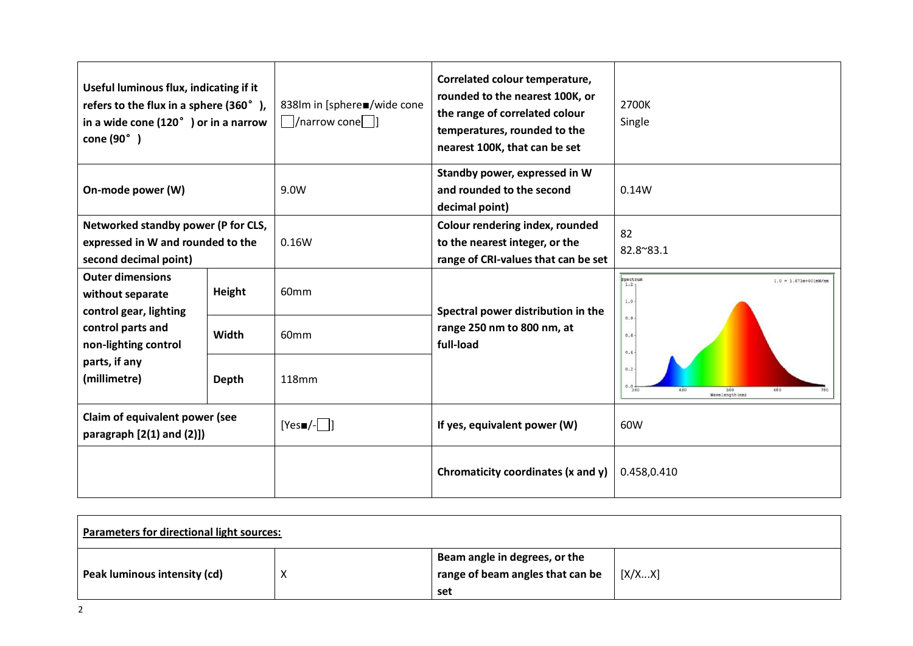| Useful luminous flux, indicating if it<br>refers to the flux in a sphere (360°),<br>in a wide cone $(120o)$ or in a narrow<br>cone (90°) |        | 838lm in [sphere■/wide cone<br>  $ /$ narrow cone $ $  ] | Correlated colour temperature,<br>rounded to the nearest 100K, or<br>the range of correlated colour<br>temperatures, rounded to the<br>nearest 100K, that can be set | 2700K<br>Single                                                           |
|------------------------------------------------------------------------------------------------------------------------------------------|--------|----------------------------------------------------------|----------------------------------------------------------------------------------------------------------------------------------------------------------------------|---------------------------------------------------------------------------|
| On-mode power (W)                                                                                                                        |        | 9.0W                                                     | Standby power, expressed in W<br>and rounded to the second<br>decimal point)                                                                                         | 0.14W                                                                     |
| Networked standby power (P for CLS,<br>expressed in W and rounded to the<br>second decimal point)                                        |        | 0.16W                                                    | Colour rendering index, rounded<br>to the nearest integer, or the<br>range of CRI-values that can be set                                                             | 82<br>82.8~83.1                                                           |
| <b>Outer dimensions</b><br>without separate<br>control gear, lighting                                                                    | Height | 60 <sub>mm</sub>                                         | Spectral power distribution in the<br>range 250 nm to 800 nm, at<br>full-load                                                                                        | Spectrum<br>$1.0 = 1.673e+001mW/nm$<br>1.2 <sub>7</sub><br>1.0<br>$0.8 -$ |
| control parts and<br>non-lighting control                                                                                                | Width  | 60mm                                                     |                                                                                                                                                                      | $0.6 -$<br>$0.4 -$                                                        |
| parts, if any<br>(millimetre)                                                                                                            | Depth  | 118mm                                                    |                                                                                                                                                                      | $0.2 -$<br>$0.0 +$<br>380<br>680<br>580<br>Wavelength(nm)                 |
| Claim of equivalent power (see<br>paragraph $[2(1)$ and $(2)]$                                                                           |        | $[Yes \blacksquare / - \blacksquare]$                    | If yes, equivalent power (W)                                                                                                                                         | 60W                                                                       |
|                                                                                                                                          |        |                                                          | Chromaticity coordinates (x and y)                                                                                                                                   | 0.458,0.410                                                               |

| <b>Parameters for directional light sources:</b> |  |                                                                          |        |  |
|--------------------------------------------------|--|--------------------------------------------------------------------------|--------|--|
| Peak luminous intensity (cd)                     |  | Beam angle in degrees, or the<br>range of beam angles that can be<br>set | [X/XX] |  |